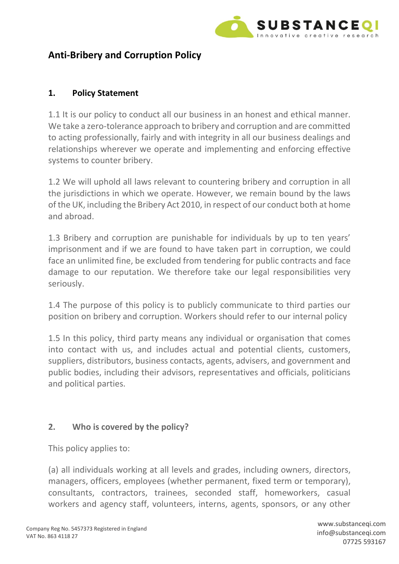

# **Anti-Bribery and Corruption Policy**

# **1. Policy Statement**

1.1 It is our policy to conduct all our business in an honest and ethical manner. We take a zero-tolerance approach to bribery and corruption and are committed to acting professionally, fairly and with integrity in all our business dealings and relationships wherever we operate and implementing and enforcing effective systems to counter bribery.

1.2 We will uphold all laws relevant to countering bribery and corruption in all the jurisdictions in which we operate. However, we remain bound by the laws of the UK, including the Bribery Act 2010, in respect of our conduct both at home and abroad.

1.3 Bribery and corruption are punishable for individuals by up to ten years' imprisonment and if we are found to have taken part in corruption, we could face an unlimited fine, be excluded from tendering for public contracts and face damage to our reputation. We therefore take our legal responsibilities very seriously.

1.4 The purpose of this policy is to publicly communicate to third parties our position on bribery and corruption. Workers should refer to our internal policy

1.5 In this policy, third party means any individual or organisation that comes into contact with us, and includes actual and potential clients, customers, suppliers, distributors, business contacts, agents, advisers, and government and public bodies, including their advisors, representatives and officials, politicians and political parties.

### **2. Who is covered by the policy?**

This policy applies to:

(a) all individuals working at all levels and grades, including owners, directors, managers, officers, employees (whether permanent, fixed term or temporary), consultants, contractors, trainees, seconded staff, homeworkers, casual workers and agency staff, volunteers, interns, agents, sponsors, or any other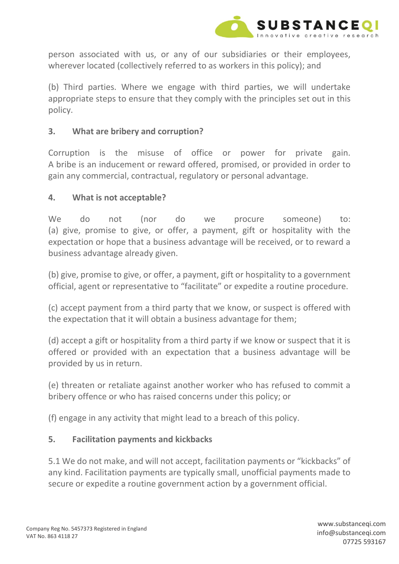

person associated with us, or any of our subsidiaries or their employees, wherever located (collectively referred to as workers in this policy); and

(b) Third parties. Where we engage with third parties, we will undertake appropriate steps to ensure that they comply with the principles set out in this policy.

## **3. What are bribery and corruption?**

Corruption is the misuse of office or power for private gain. A bribe is an inducement or reward offered, promised, or provided in order to gain any commercial, contractual, regulatory or personal advantage.

### **4. What is not acceptable?**

We do not (nor do we procure someone) to: (a) give, promise to give, or offer, a payment, gift or hospitality with the expectation or hope that a business advantage will be received, or to reward a business advantage already given.

(b) give, promise to give, or offer, a payment, gift or hospitality to a government official, agent or representative to "facilitate" or expedite a routine procedure.

(c) accept payment from a third party that we know, or suspect is offered with the expectation that it will obtain a business advantage for them;

(d) accept a gift or hospitality from a third party if we know or suspect that it is offered or provided with an expectation that a business advantage will be provided by us in return.

(e) threaten or retaliate against another worker who has refused to commit a bribery offence or who has raised concerns under this policy; or

(f) engage in any activity that might lead to a breach of this policy.

# **5. Facilitation payments and kickbacks**

5.1 We do not make, and will not accept, facilitation payments or "kickbacks" of any kind. Facilitation payments are typically small, unofficial payments made to secure or expedite a routine government action by a government official.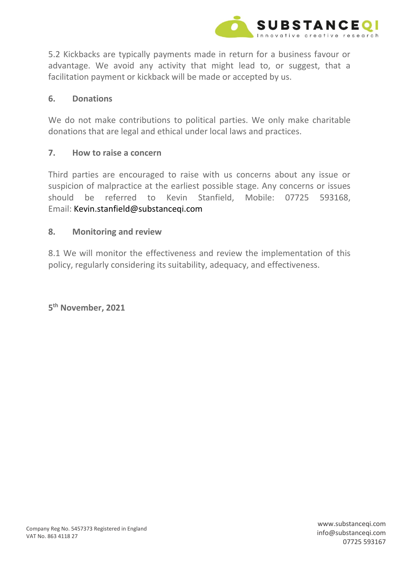

5.2 Kickbacks are typically payments made in return for a business favour or advantage. We avoid any activity that might lead to, or suggest, that a facilitation payment or kickback will be made or accepted by us.

#### **6. Donations**

We do not make contributions to political parties. We only make charitable donations that are legal and ethical under local laws and practices.

#### **7. How to raise a concern**

Third parties are encouraged to raise with us concerns about any issue or suspicion of malpractice at the earliest possible stage. Any concerns or issues should be referred to Kevin Stanfield, Mobile: 07725 593168, Email: Kevin.stanfield@substanceqi.com

#### **8. Monitoring and review**

8.1 We will monitor the effectiveness and review the implementation of this policy, regularly considering its suitability, adequacy, and effectiveness.

**5 th November, 2021**